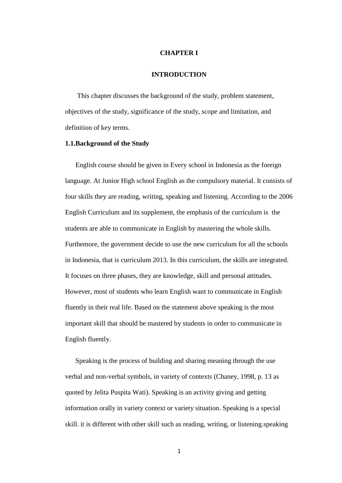## **CHAPTER I**

# **INTRODUCTION**

 This chapter discusses the background of the study, problem statement, objectives of the study, significance of the study, scope and limitation, and definition of key terms.

#### **1.1.Background of the Study**

English course should be given in Every school in Indonesia as the foreign language. At Junior High school English as the compulsory material. It consists of four skills they are reading, writing, speaking and listening. According to the 2006 English Curriculum and its supplement, the emphasis of the curriculum is the students are able to communicate in English by mastering the whole skills. Furthemore, the government decide to use the new curriculum for all the schools in Indonesia, that is curriculum 2013. In this curriculum, the skills are integrated. It focuses on three phases, they are knowledge, skill and personal attitudes. However, most of students who learn English want to communicate in English fluently in their real life. Based on the statement above speaking is the most important skill that should be mastered by students in order to communicate in English fluently.

Speaking is the process of building and sharing meaning through the use verbal and non-verbal symbols, in variety of contexts (Chaney, 1998, p. 13 as quoted by Jelita Puspita Wati). Speaking is an activity giving and getting information orally in variety context or variety situation. Speaking is a special skill. it is different with other skill such as reading, writing, or listening.speaking

1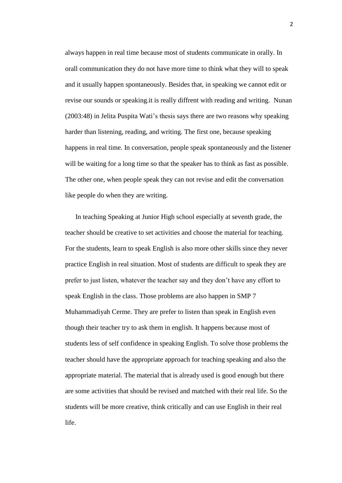always happen in real time because most of students communicate in orally. In orall communication they do not have more time to think what they will to speak and it usually happen spontaneously. Besides that, in speaking we cannot edit or revise our sounds or speaking.it is really diffrent with reading and writing. Nunan (2003:48) in Jelita Puspita Wati's thesis says there are two reasons why speaking harder than listening, reading, and writing. The first one, because speaking happens in real time. In conversation, people speak spontaneously and the listener will be waiting for a long time so that the speaker has to think as fast as possible. The other one, when people speak they can not revise and edit the conversation like people do when they are writing.

In teaching Speaking at Junior High school especially at seventh grade, the teacher should be creative to set activities and choose the material for teaching. For the students, learn to speak English is also more other skills since they never practice English in real situation. Most of students are difficult to speak they are prefer to just listen, whatever the teacher say and they don't have any effort to speak English in the class. Those problems are also happen in SMP 7 Muhammadiyah Cerme. They are prefer to listen than speak in English even though their teacher try to ask them in english. It happens because most of students less of self confidence in speaking English. To solve those problems the teacher should have the appropriate approach for teaching speaking and also the appropriate material. The material that is already used is good enough but there are some activities that should be revised and matched with their real life. So the students will be more creative, think critically and can use English in their real life.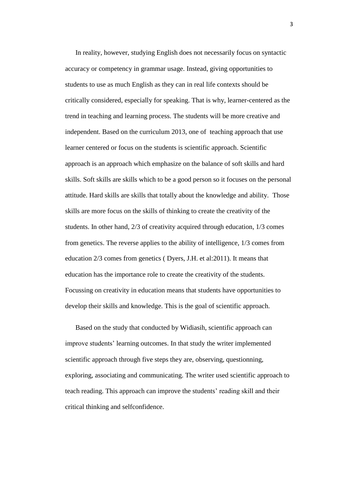In reality, however, studying English does not necessarily focus on syntactic accuracy or competency in grammar usage. Instead, giving opportunities to students to use as much English as they can in real life contexts should be critically considered, especially for speaking. That is why, learner-centered as the trend in teaching and learning process. The students will be more creative and independent. Based on the curriculum 2013, one of teaching approach that use learner centered or focus on the students is scientific approach. Scientific approach is an approach which emphasize on the balance of soft skills and hard skills. Soft skills are skills which to be a good person so it focuses on the personal attitude. Hard skills are skills that totally about the knowledge and ability. Those skills are more focus on the skills of thinking to create the creativity of the students. In other hand, 2/3 of creativity acquired through education, 1/3 comes from genetics. The reverse applies to the ability of intelligence, 1/3 comes from education 2/3 comes from genetics ( Dyers, J.H. et al:2011). It means that education has the importance role to create the creativity of the students. Focussing on creativity in education means that students have opportunities to develop their skills and knowledge. This is the goal of scientific approach.

Based on the study that conducted by Widiasih, scientific approach can improve students' learning outcomes. In that study the writer implemented scientific approach through five steps they are, observing, questionning, exploring, associating and communicating. The writer used scientific approach to teach reading. This approach can improve the students' reading skill and their critical thinking and selfconfidence.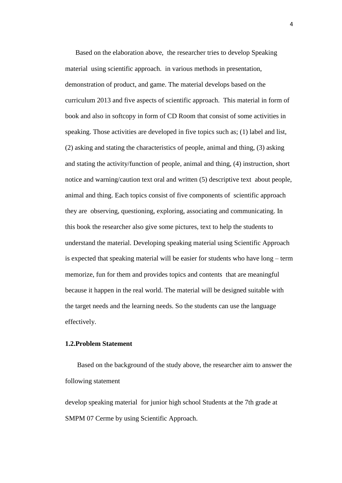Based on the elaboration above, the researcher tries to develop Speaking material using scientific approach. in various methods in presentation, demonstration of product, and game. The material develops based on the curriculum 2013 and five aspects of scientific approach. This material in form of book and also in softcopy in form of CD Room that consist of some activities in speaking. Those activities are developed in five topics such as; (1) label and list, (2) asking and stating the characteristics of people, animal and thing, (3) asking and stating the activity/function of people, animal and thing, (4) instruction, short notice and warning/caution text oral and written (5) descriptive text about people, animal and thing. Each topics consist of five components of scientific approach they are observing, questioning, exploring, associating and communicating. In this book the researcher also give some pictures, text to help the students to understand the material. Developing speaking material using Scientific Approach is expected that speaking material will be easier for students who have long – term memorize, fun for them and provides topics and contents that are meaningful because it happen in the real world. The material will be designed suitable with the target needs and the learning needs. So the students can use the language effectively.

## **1.2.Problem Statement**

 Based on the background of the study above, the researcher aim to answer the following statement

develop speaking material for junior high school Students at the 7th grade at SMPM 07 Cerme by using Scientific Approach.

4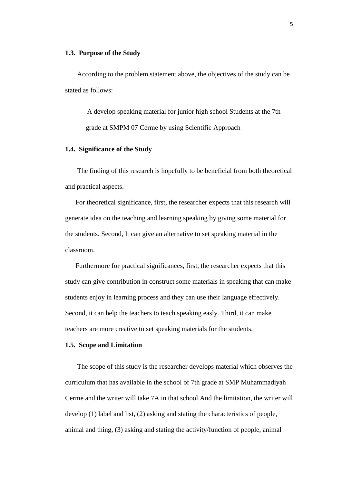#### **1.3. Purpose of the Study**

 According to the problem statement above, the objectives of the study can be stated as follows:

A develop speaking material for junior high school Students at the 7th grade at SMPM 07 Cerme by using Scientific Approach

## **1.4. Significance of the Study**

 The finding of this research is hopefully to be beneficial from both theoretical and practical aspects.

For theoretical significance, first, the researcher expects that this research will generate idea on the teaching and learning speaking by giving some material for the students. Second, It can give an alternative to set speaking material in the classroom.

Furthermore for practical significances, first, the researcher expects that this study can give contribution in construct some materials in speaking that can make students enjoy in learning process and they can use their language effectively. Second, it can help the teachers to teach speaking easly. Third, it can make teachers are more creative to set speaking materials for the students.

## **1.5. Scope and Limitation**

 The scope of this study is the researcher develops material which observes the curriculum that has available in the school of 7th grade at SMP Muhammadiyah Cerme and the writer will take 7A in that school.And the limitation, the writer will develop (1) label and list, (2) asking and stating the characteristics of people, animal and thing, (3) asking and stating the activity/function of people, animal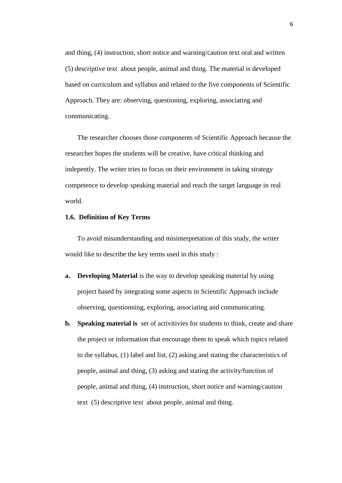and thing, (4) instruction, short notice and warning/caution text oral and written (5) descriptive text about people, animal and thing. The material is developed based on curriculum and syllabus and related to the five components of Scientific Approach. They are: observing, questioning, exploring, associating and communicating.

 The researcher chooses those components of Scientific Approach because the researcher hopes the students will be creative, have critical thinking and indepently. The writer tries to focus on their environment in taking strategy competence to develop speaking material and reach the target language in real world.

#### **1.6. Definition of Key Terms**

 To avoid misunderstanding and misinterpretation of this study, the writer would like to describe the key terms used in this study :

- **a. Developing Material** is the way to develop speaking material by using project based by integrating some aspects in Scientific Approach include observing, questionning, exploring, associating and communicating.
- **b. Speaking material is** set of activitivies for students to think, create and share the project or information that encourage them to speak which topics related to the syllabus, (1) label and list, (2) asking and stating the characteristics of people, animal and thing, (3) asking and stating the activity/function of people, animal and thing, (4) instruction, short notice and warning/caution text (5) descriptive text about people, animal and thing.